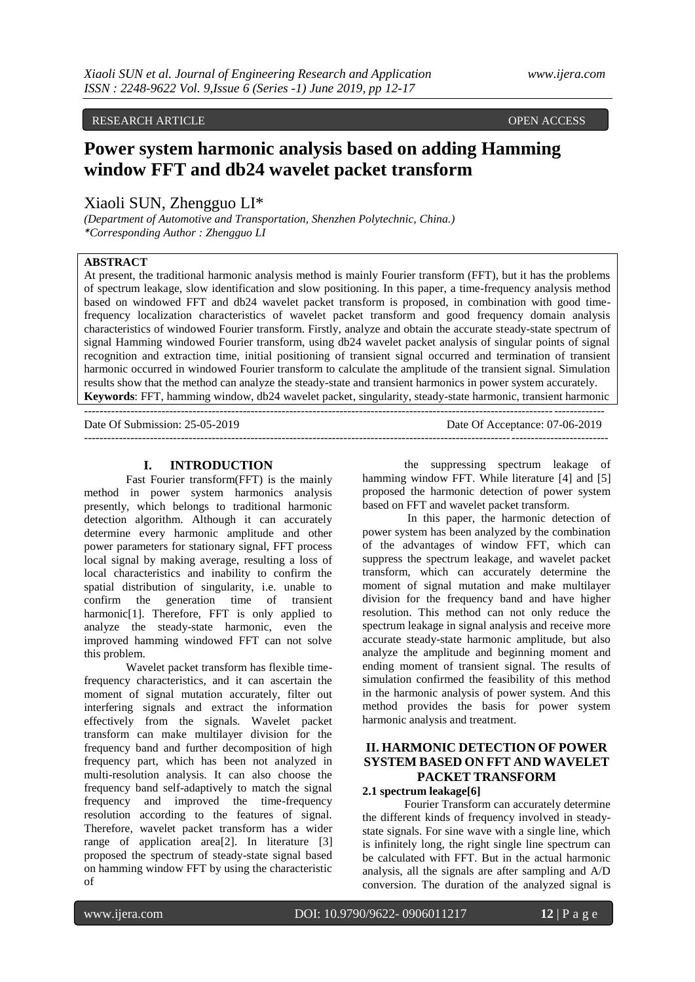### RESEARCH ARTICLE **OPEN ACCESS**

# **Power system harmonic analysis based on adding Hamming window FFT and db24 wavelet packet transform**

# Xiaoli SUN, Zhengguo LI\*

*(Department of Automotive and Transportation, Shenzhen Polytechnic, China.) \*Corresponding Author : Zhengguo LI*

### **ABSTRACT**

At present, the traditional harmonic analysis method is mainly Fourier transform (FFT), but it has the problems of spectrum leakage, slow identification and slow positioning. In this paper, a time-frequency analysis method based on windowed FFT and db24 wavelet packet transform is proposed, in combination with good timefrequency localization characteristics of wavelet packet transform and good frequency domain analysis characteristics of windowed Fourier transform. Firstly, analyze and obtain the accurate steady-state spectrum of signal Hamming windowed Fourier transform, using db24 wavelet packet analysis of singular points of signal recognition and extraction time, initial positioning of transient signal occurred and termination of transient harmonic occurred in windowed Fourier transform to calculate the amplitude of the transient signal. Simulation results show that the method can analyze the steady-state and transient harmonics in power system accurately. **Keywords**: FFT, hamming window, db24 wavelet packet, singularity, steady-state harmonic, transient harmonic

--------------------------------------------------------------------------------------------------------------------------------------

Date Of Submission: 25-05-2019 Date Of Acceptance: 07-06-2019 ---------------------------------------------------------------------------------------------------------------------------------------

### **I. INTRODUCTION**

Fast Fourier transform(FFT) is the mainly method in power system harmonics analysis presently, which belongs to traditional harmonic detection algorithm. Although it can accurately determine every harmonic amplitude and other power parameters for stationary signal, FFT process local signal by making average, resulting a loss of local characteristics and inability to confirm the spatial distribution of singularity, i.e. unable to confirm the generation time of transient harmonic[1]. Therefore, FFT is only applied to analyze the steady-state harmonic, even the improved hamming windowed FFT can not solve this problem.

Wavelet packet transform has flexible timefrequency characteristics, and it can ascertain the moment of signal mutation accurately, filter out interfering signals and extract the information effectively from the signals. Wavelet packet transform can make multilayer division for the frequency band and further decomposition of high frequency part, which has been not analyzed in multi-resolution analysis. It can also choose the frequency band self-adaptively to match the signal frequency and improved the time-frequency resolution according to the features of signal. Therefore, wavelet packet transform has a wider range of application area[2]. In literature [3] proposed the spectrum of steady-state signal based on hamming window FFT by using the characteristic of

the suppressing spectrum leakage of hamming window FFT. While literature [4] and [5] proposed the harmonic detection of power system based on FFT and wavelet packet transform.

In this paper, the harmonic detection of power system has been analyzed by the combination of the advantages of window FFT, which can suppress the spectrum leakage, and wavelet packet transform, which can accurately determine the moment of signal mutation and make multilayer division for the frequency band and have higher resolution. This method can not only reduce the spectrum leakage in signal analysis and receive more accurate steady-state harmonic amplitude, but also analyze the amplitude and beginning moment and ending moment of transient signal. The results of simulation confirmed the feasibility of this method in the harmonic analysis of power system. And this method provides the basis for power system harmonic analysis and treatment.

# **II. HARMONIC DETECTION OF POWER SYSTEM BASED ON FFT AND WAVELET PACKET TRANSFORM**

### **2.1 spectrum leakage[6]**

Fourier Transform can accurately determine the different kinds of frequency involved in steadystate signals. For sine wave with a single line, which is infinitely long, the right single line spectrum can be calculated with FFT. But in the actual harmonic analysis, all the signals are after sampling and A/D conversion. The duration of the analyzed signal is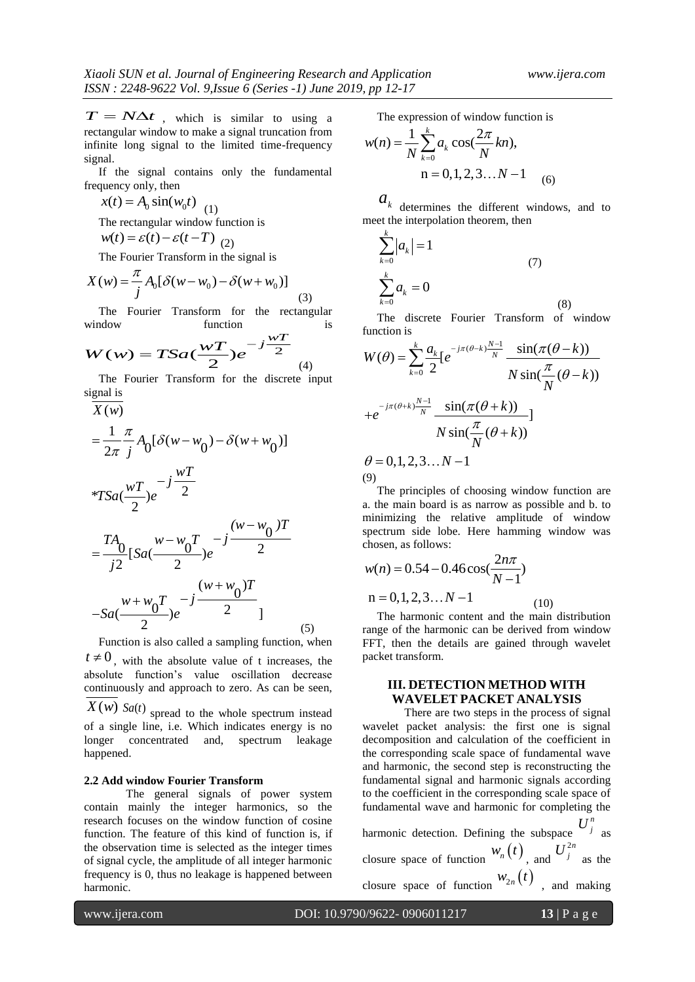$T = N\Delta t$ , which is similar to using a rectangular window to make a signal truncation from infinite long signal to the limited time-frequency signal.

 If the signal contains only the fundamental frequency only, then

 $x(t) = A_0 \sin(w_0 t)$  (1)

The rectangular window function is<br> $w(t) = \varepsilon(t) - \varepsilon(t - T)$  (2)

$$
w(t) = \varepsilon(t) - \varepsilon(t - T)_{(2)}
$$

The Fourier Transform in the signal is  
\n
$$
X(w) = \frac{\pi}{j} A_0 [\delta(w - w_0) - \delta(w + w_0)]
$$
\n(3)

 The Fourier Transform for the rectangular window function is

$$
W(w) = TSa(\frac{wT}{2})e^{-j\frac{wT}{2}}
$$
 (4)

The Fourier Transform for the discrete input

T = NΔr, which is similar to using a  
refinite long signal to the limited time-frequency  
intinitely long signal contains only the fundamental  
frequency only, then  

$$
x(t) = A_0 \sin(\omega_0 t)
$$
 (1)  
the square term, and  
 $x(t) = \epsilon(t) - \epsilon(t - T)$  (2)  
 $x(t) = A_0 \sin(\omega_0 t)$  (1)  
 $x(t) = \frac{\pi}{\lambda} \int_0^1 \delta(\omega - w_0) - \delta(w + w_0)$  (3)  
 $x(t) = \frac{\pi}{\lambda} \int_0^1 \delta(w - w_0) - \delta(w + w_0)$  (4)  
 $x(t) = \frac{\pi}{\lambda} \int_0^1 \delta(w - w_0) - \delta(w + w_0)$  (5)  
 $x(t) = \frac{\pi}{\lambda} \int_0^1 \delta(w - w_0) - \delta(w + w_0)$  (6)  
 $x(t) = \frac{\pi}{\lambda} \int_0^1 \delta(w - w_0) - \delta(w + w_0)$  (7)  
 $x(t) = \frac{\pi}{\lambda} \int_0^1 \delta(w - w_0) - \delta(w + w_0)$  (8)  
 $x(t) = \frac{\pi}{\lambda} \int_0^1 \delta(w - w_0) - \delta(w + w_0)$  (9)  
 $x(t) = \frac{\pi}{\lambda} \int_0^1 \delta(w - w_0) - \delta(w + w_0)$  (1)  
 $x(t) = \frac{\pi}{2\pi} \int_0^1 \delta(w - w_0) - \delta(w + w_0)$  (1)  
 $x(t) = \frac{\pi}{2\pi} \int_0^1 \delta(w - w_0) - \delta(w + w_0)$  (1)  
 $x(t) = 0, 1, 2, 3, ...$   $x - 1$   
 $x(t) = 0, 1, 2, 3, ...$   $x - 1$   
 $x(t) = 0, 1, 2, 3, ...$   $x - 1$   
 $x(t) = 0, 1, 2, 3, ...$   $x - 1$   
 $x(t) = 0, 1, 2, 3, ...$   $x - 1$   
 $x(t) = 0, 1, 2, 3, ...$   $x - 1$   
 $x(t) = 0, 1, 2, 3, ...$ 

 Function is also called a sampling function, when  $t \neq 0$ , with the absolute value of t increases, the absolute function's value oscillation decrease continuously and approach to zero. As can be seen,  $X(w)$  *Sa(t)* spread to the whole spectrum instead of a single line, i.e. Which indicates energy is no

longer concentrated and, spectrum leakage happened.

#### **2.2 Add window Fourier Transform**

The general signals of power system contain mainly the integer harmonics, so the research focuses on the window function of cosine function. The feature of this kind of function is, if the observation time is selected as the integer times of signal cycle, the amplitude of all integer harmonic frequency is 0, thus no leakage is happened between harmonic.

The expression of window function is  
\n
$$
w(n) = \frac{1}{N} \sum_{k=0}^{k} a_k \cos(\frac{2\pi}{N}kn),
$$
\n
$$
n = 0, 1, 2, 3...N - 1
$$
\n(6)

 $a_k$  determines the different windows, and to meet the interpolation theorem, then

$$
\sum_{k=0}^{k} |a_k| = 1
$$
\n
$$
\sum_{k=0}^{k} a_k = 0
$$
\n(7)

 The discrete Fourier Transform of window function is

function is  
\n
$$
W(\theta) = \sum_{k=0}^{k} \frac{a_k}{2} \left[e^{-j\pi(\theta - k)\frac{N-1}{N}} \frac{\sin(\pi(\theta - k))}{N \sin(\frac{\pi}{N}(\theta - k))}\right]
$$
\n
$$
+ e^{-j\pi(\theta + k)\frac{N-1}{N}} \frac{\sin(\pi(\theta + k))}{N \sin(\frac{\pi}{N}(\theta + k))}\right]
$$
\n
$$
\theta = 0, 1, 2, 3, \dots N - 1
$$

(9)

 The principles of choosing window function are a. the main board is as narrow as possible and b. to minimizing the relative amplitude of window spectrum side lobe. Here hamming window was chosen, as follows:

$$
w(n) = 0.54 - 0.46 \cos(\frac{2n\pi}{N-1})
$$
  
n = 0, 1, 2, 3... $N-1$  (10)

 The harmonic content and the main distribution range of the harmonic can be derived from window FFT, then the details are gained through wavelet packet transform.

# **III. DETECTION METHOD WITH WAVELET PACKET ANALYSIS**

There are two steps in the process of signal wavelet packet analysis: the first one is signal decomposition and calculation of the coefficient in the corresponding scale space of fundamental wave and harmonic, the second step is reconstructing the fundamental signal and harmonic signals according to the coefficient in the corresponding scale space of fundamental wave and harmonic for completing the

harmonic detection. Defining the subspace  $U_j^n$  as closure space of function  $W_n(t)$ , and  $U_j^{2n}$  as the closure space of function  $w_{2n}(t)$ , and making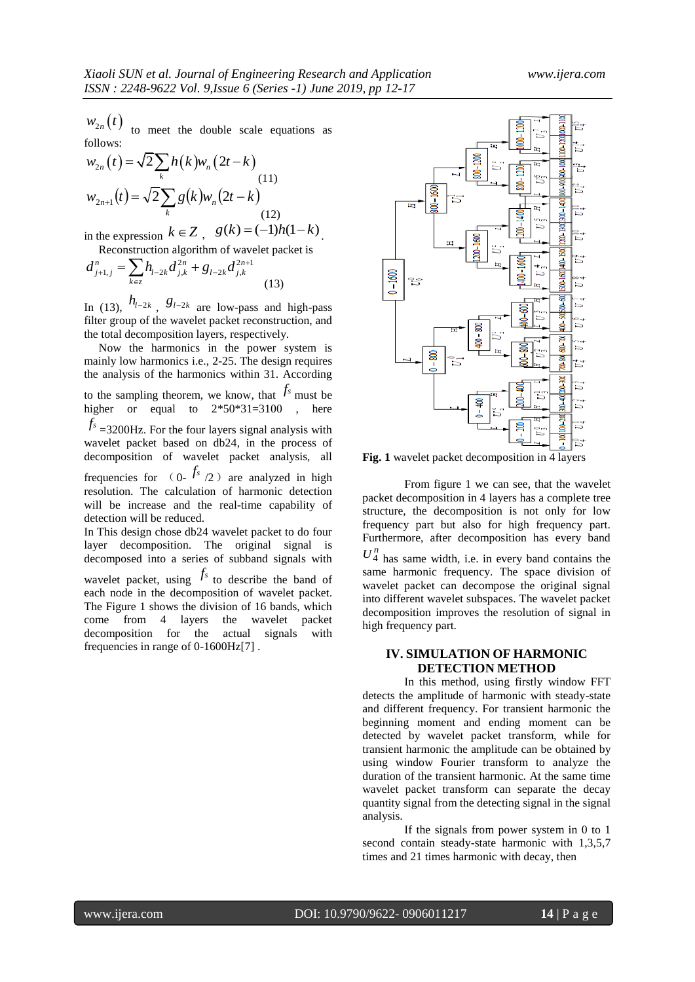$W_{2n}(t)$ to meet the double scale equations as follows:

$$
w_{2n}(t) = \sqrt{2} \sum_{k} h(k) w_{n}(2t - k)
$$
  
\n
$$
w_{2n+1}(t) = \sqrt{2} \sum_{k} g(k) w_{n}(2t - k)
$$
  
\n(11)  
\n(12)

in the expression  $k \in \mathbb{Z}$ ,  $g(k) = (-1)h(1-k)$ .

Reconstruction algorithm of wavelet packet is  
\n
$$
d_{j+1,j}^n = \sum_{k \in \mathbb{Z}} h_{l-2k} d_{j,k}^{2n} + g_{l-2k} d_{j,k}^{2n+1}
$$
\n(13)

In (13),  $h_{l-2k}$ ,  $g_{l-2k}$  are low-pass and high-pass filter group of the wavelet packet reconstruction, and the total decomposition layers, respectively.

 Now the harmonics in the power system is mainly low harmonics i.e., 2-25. The design requires the analysis of the harmonics within 31. According to the sampling theorem, we know, that  $f_s$  must be higher or equal to  $2*50*31=3100$ , here *fs* =3200Hz. For the four layers signal analysis with wavelet packet based on db24, in the process of decomposition of wavelet packet analysis, all frequencies for  $(0 - \frac{f_s}{2})$  are analyzed in high resolution. The calculation of harmonic detection will be increase and the real-time capability of detection will be reduced.

In This design chose db24 wavelet packet to do four layer decomposition. The original signal is decomposed into a series of subband signals with wavelet packet, using  $f_s$  to describe the band of each node in the decomposition of wavelet packet. The Figure 1 shows the division of 16 bands, which come from 4 layers the wavelet packet decomposition for the actual signals with

frequencies in range of 0-1600Hz[7] .



**Fig. 1** wavelet packet decomposition in 4 layers

From figure 1 we can see, that the wavelet packet decomposition in 4 layers has a complete tree structure, the decomposition is not only for low frequency part but also for high frequency part. Furthermore, after decomposition has every band

 $U_4^n$  has same width, i.e. in every band contains the same harmonic frequency. The space division of wavelet packet can decompose the original signal into different wavelet subspaces. The wavelet packet decomposition improves the resolution of signal in high frequency part.

### **IV. SIMULATION OF HARMONIC DETECTION METHOD**

In this method, using firstly window FFT detects the amplitude of harmonic with steady-state and different frequency. For transient harmonic the beginning moment and ending moment can be detected by wavelet packet transform, while for transient harmonic the amplitude can be obtained by using window Fourier transform to analyze the duration of the transient harmonic. At the same time wavelet packet transform can separate the decay quantity signal from the detecting signal in the signal analysis.

If the signals from power system in 0 to 1 second contain steady-state harmonic with 1,3,5,7 times and 21 times harmonic with decay, then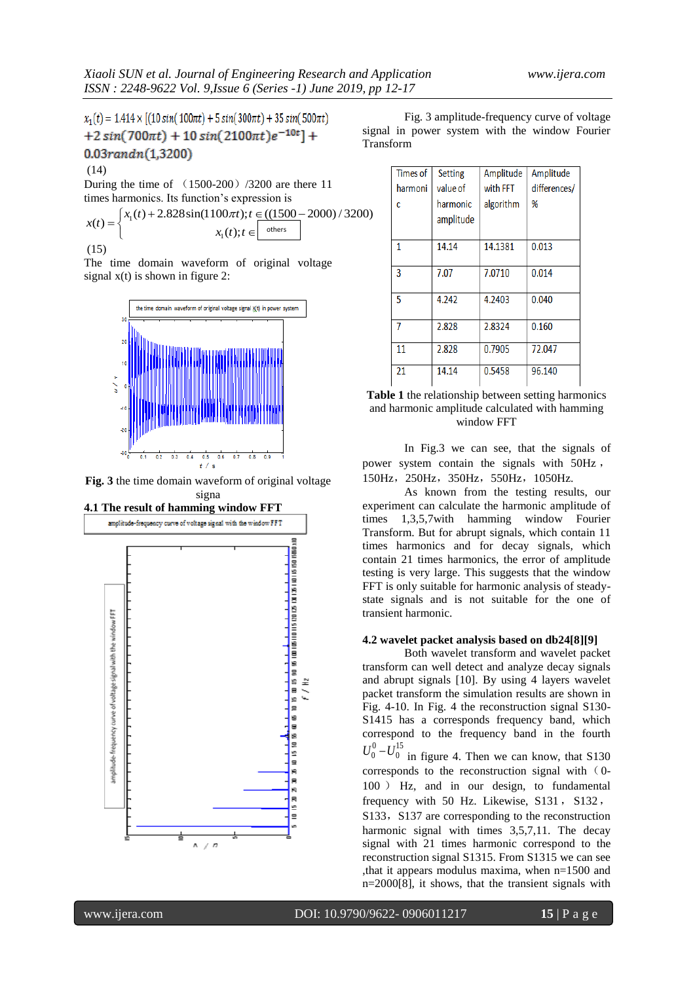$$
x_1(t) = 1.414 \times [(10 \sin(100\pi t) + 5 \sin(300\pi t) + 35 \sin(500\pi t) + 2 \sin(700\pi t) + 10 \sin(2100\pi t)e^{-10t}] + 0.03 \cdot \frac{37 \cdot 200}{200}
$$
\n(14)

During the time of 
$$
(1500-200) / 3200
$$
 are there 11 times harmonics. Its function's expression is\n
$$
x(t) = \begin{cases} x_1(t) + 2.828 \sin(1100\pi t); t \in \text{(1500 - 2000) / 3200} \\ x_1(t); t \in \text{others} \end{cases}
$$
\n(15)

The time domain waveform of original voltage signal  $x(t)$  is shown in figure 2:



**Fig. 3** the time domain waveform of original voltage signa



Fig. 3 amplitude-frequency curve of voltage signal in power system with the window Fourier Transform

| Times of | <b>Setting</b>        | Amplitude | Amplitude    |
|----------|-----------------------|-----------|--------------|
| harmoni  | value of              | with FFT  | differences/ |
| c        | harmonic<br>amplitude | algorithm | %            |
| 1        | 14.14                 | 14.1381   | 0.013        |
| 3        | 7.07                  | 7.0710    | 0.014        |
| 5        | 4.242                 | 4.2403    | 0.040        |
|          | 2.828                 | 2.8324    | 0.160        |
| 11       | 2.828                 | 0.7905    | 72.047       |
| 21       | 14.14                 | 0.5458    | 96.140       |



In Fig.3 we can see, that the signals of power system contain the signals with 50Hz , 150Hz,250Hz,350Hz,550Hz,1050Hz.

As known from the testing results, our experiment can calculate the harmonic amplitude of times 1,3,5,7with hamming window Fourier Transform. But for abrupt signals, which contain 11 times harmonics and for decay signals, which contain 21 times harmonics, the error of amplitude testing is very large. This suggests that the window FFT is only suitable for harmonic analysis of steadystate signals and is not suitable for the one of transient harmonic.

#### **4.2 wavelet packet analysis based on db24[8][9]**

Both wavelet transform and wavelet packet transform can well detect and analyze decay signals and abrupt signals [10]. By using 4 layers wavelet packet transform the simulation results are shown in Fig. 4-10. In Fig. 4 the reconstruction signal S130- S1415 has a corresponds frequency band, which correspond to the frequency band in the fourth 15  $U_0^0 - U_0^{15}$  in figure 4. Then we can know, that S130 corresponds to the reconstruction signal with  $(0-$ 100 ) Hz, and in our design, to fundamental

frequency with 50 Hz. Likewise, S131, S132, S133, S137 are corresponding to the reconstruction harmonic signal with times 3,5,7,11. The decay signal with 21 times harmonic correspond to the reconstruction signal S1315. From S1315 we can see ,that it appears modulus maxima, when n=1500 and n=2000[8], it shows, that the transient signals with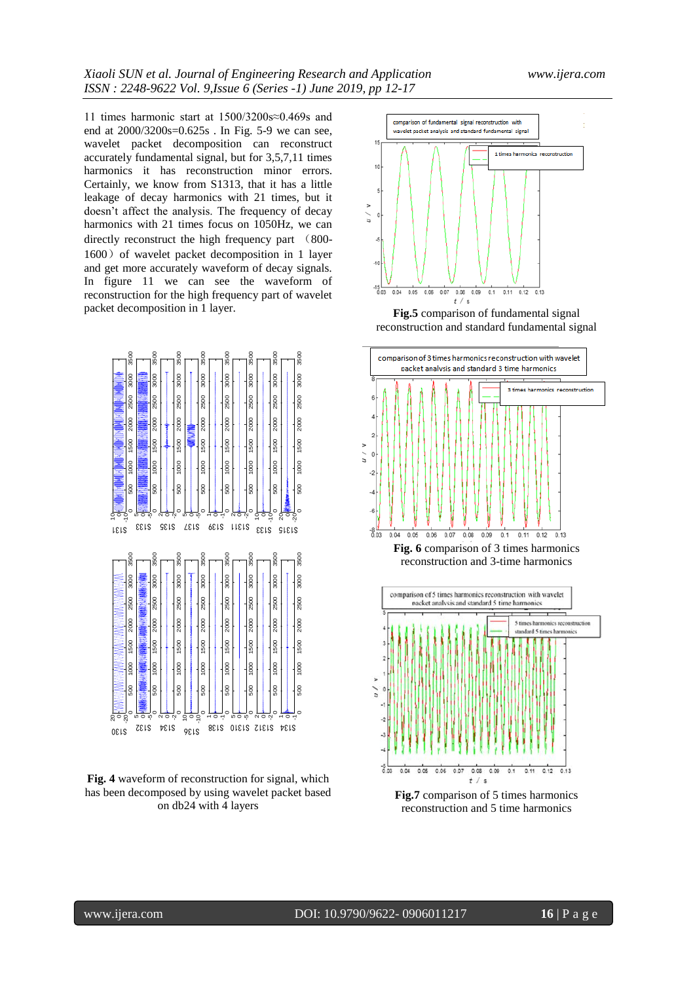11 times harmonic start at 1500/3200s≈0.469s and end at 2000/3200s=0.625s . In Fig. 5-9 we can see, wavelet packet decomposition can reconstruct accurately fundamental signal, but for 3,5,7,11 times harmonics it has reconstruction minor errors. Certainly, we know from S1313, that it has a little leakage of decay harmonics with 21 times, but it doesn't affect the analysis. The frequency of decay harmonics with 21 times focus on 1050Hz, we can directly reconstruct the high frequency part (800- 1600) of wavelet packet decomposition in 1 layer and get more accurately waveform of decay signals. In figure 11 we can see the waveform of reconstruction for the high frequency part of wavelet packet decomposition in 1 layer.



**Fig. 4** waveform of reconstruction for signal, which has been decomposed by using wavelet packet based on db24 with 4 layers



**Fig.5** comparison of fundamental signal reconstruction and standard fundamental signal







**Fig.7** comparison of 5 times harmonics reconstruction and 5 time harmonics